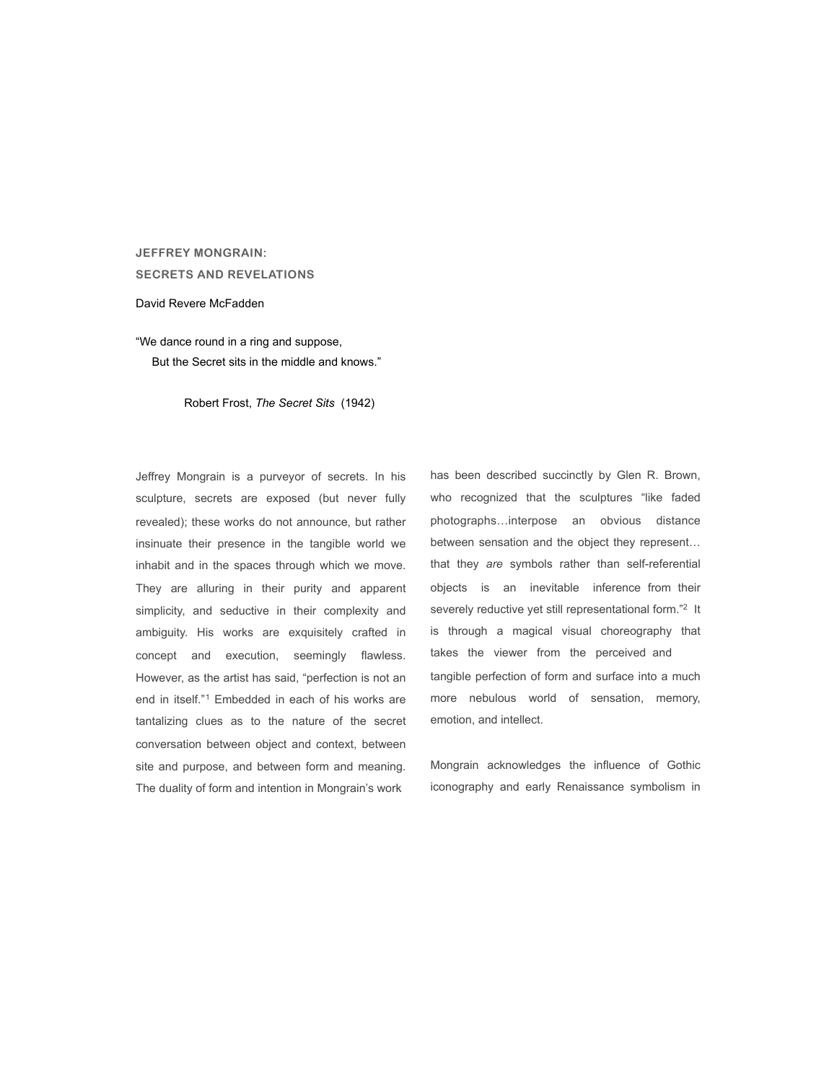## **JEFFREY MONGRAIN: SECRETS AND REVELATIONS**

## David Revere McFadden

"We dance round in a ring and suppose, But the Secret sits in the middle and knows."

Robert Frost, *The Secret Sits* (1942)

Jeffrey Mongrain is a purveyor of secrets. In his sculpture, secrets are exposed (but never fully revealed); these works do not announce, but rather insinuate their presence in the tangible world we inhabit and in the spaces through which we move. They are alluring in their purity and apparent simplicity, and seductive in their complexity and ambiguity. His works are exquisitely crafted in concept and execution, seemingly flawless. However, as the artist has said, "perfection is not an end in itself."1 Embedded in each of his works are tantalizing clues as to the nature of the secret conversation between object and context, between site and purpose, and between form and meaning. The duality of form and intention in Mongrain's work

has been described succinctly by Glen R. Brown, who recognized that the sculptures "like faded photographs…interpose an obvious distance between sensation and the object they represent… that they *are* symbols rather than self-referential objects is an inevitable inference from their severely reductive yet still representational form."<sup>[2](#page-5-0)</sup> It is through a magical visual choreography that takes the viewer from the perceived and tangible perfection of form and surface into a much more nebulous world of sensation, memory, emotion, and intellect.

Mongrain acknowledges the influence of Gothic iconography and early Renaissance symbolism in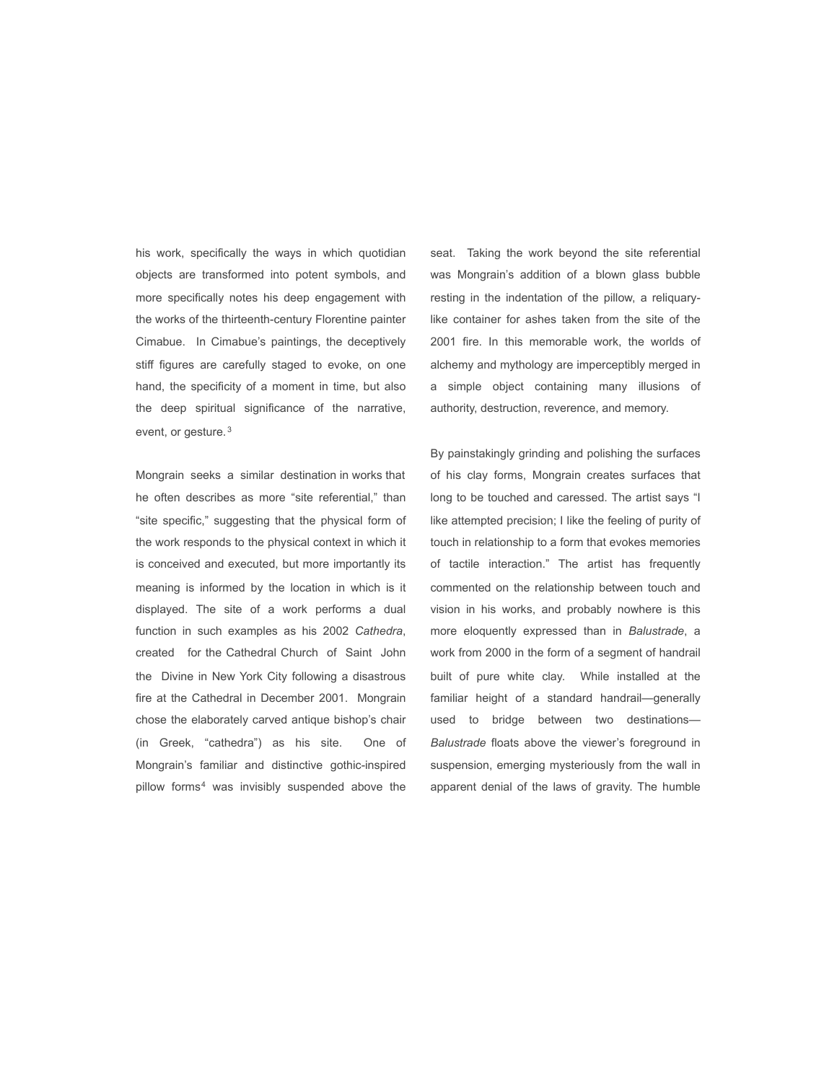his work, specifically the ways in which quotidian objects are transformed into potent symbols, and more specifically notes his deep engagement with the works of the thirteenth-century Florentine painter Cimabue. In Cimabue's paintings, the deceptively stiff figures are carefully staged to evoke, on one hand, the specificity of a moment in time, but also the deep spiritual significance of the narrative, event, or gesture. <sup>3</sup>

Mongrain seeks a similar destination in works that he often describes as more "site referential," than "site specific," suggesting that the physical form of the work responds to the physical context in which it is conceived and executed, but more importantly its meaning is informed by the location in which is it displayed. The site of a work performs a dual function in such examples as his 2002 *Cathedra*, created for the Cathedral Church of Saint John the Divine in New York City following a disastrous fire at the Cathedral in December 2001. Mongrain chose the elaborately carved antique bishop's chair (in Greek, "cathedra") as his site. One of Mongrain's familiar and distinctive gothic-inspired pillow forms4 was invisibly suspended above the

seat. Taking the work beyond the site referential was Mongrain's addition of a blown glass bubble resting in the indentation of the pillow, a reliquarylike container for ashes taken from the site of the 2001 fire. In this memorable work, the worlds of alchemy and mythology are imperceptibly merged in a simple object containing many illusions of authority, destruction, reverence, and memory.

By painstakingly grinding and polishing the surfaces of his clay forms, Mongrain creates surfaces that long to be touched and caressed. The artist says "I like attempted precision; I like the feeling of purity of touch in relationship to a form that evokes memories of tactile interaction." The artist has frequently commented on the relationship between touch and vision in his works, and probably nowhere is this more eloquently expressed than in *Balustrade*, a work from 2000 in the form of a segment of handrail built of pure white clay. While installed at the familiar height of a standard handrail—generally used to bridge between two destinations— *Balustrade* floats above the viewer's foreground in suspension, emerging mysteriously from the wall in apparent denial of the laws of gravity. The humble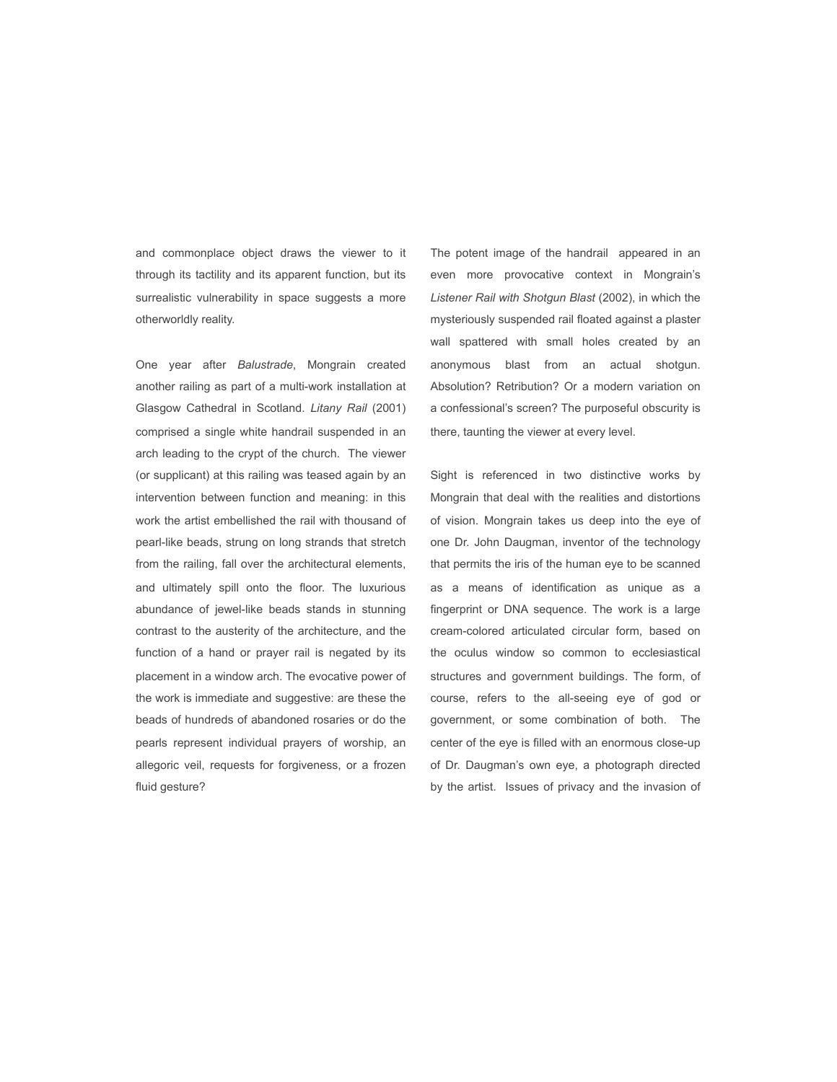and commonplace object draws the viewer to it through its tactility and its apparent function, but its surrealistic vulnerability in space suggests a more otherworldly reality.

One year after *Balustrade*, Mongrain created another railing as part of a multi-work installation at Glasgow Cathedral in Scotland. *Litany Rail* (2001) comprised a single white handrail suspended in an arch leading to the crypt of the church. The viewer (or supplicant) at this railing was teased again by an intervention between function and meaning: in this work the artist embellished the rail with thousand of pearl-like beads, strung on long strands that stretch from the railing, fall over the architectural elements, and ultimately spill onto the floor. The luxurious abundance of jewel-like beads stands in stunning contrast to the austerity of the architecture, and the function of a hand or prayer rail is negated by its placement in a window arch. The evocative power of the work is immediate and suggestive: are these the beads of hundreds of abandoned rosaries or do the pearls represent individual prayers of worship, an allegoric veil, requests for forgiveness, or a frozen fluid gesture?

The potent image of the handrail appeared in an even more provocative context in Mongrain's *Listener Rail with Shotgun Blast* (2002), in which the mysteriously suspended rail floated against a plaster wall spattered with small holes created by an anonymous blast from an actual shotgun. Absolution? Retribution? Or a modern variation on a confessional's screen? The purposeful obscurity is there, taunting the viewer at every level.

Sight is referenced in two distinctive works by Mongrain that deal with the realities and distortions of vision. Mongrain takes us deep into the eye of one Dr. John Daugman, inventor of the technology that permits the iris of the human eye to be scanned as a means of identification as unique as a fingerprint or DNA sequence. The work is a large cream-colored articulated circular form, based on the oculus window so common to ecclesiastical structures and government buildings. The form, of course, refers to the all-seeing eye of god or government, or some combination of both. The center of the eye is filled with an enormous close-up of Dr. Daugman's own eye, a photograph directed by the artist. Issues of privacy and the invasion of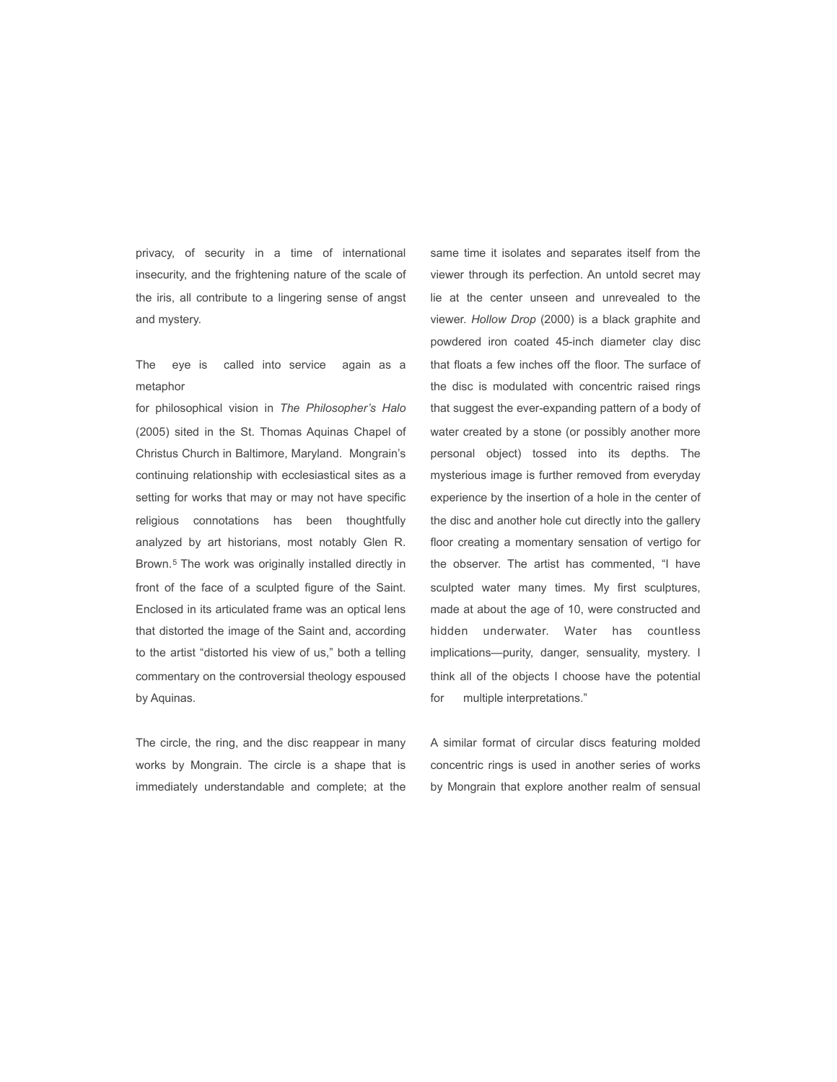privacy, of security in a time of international insecurity, and the frightening nature of the scale of the iris, all contribute to a lingering sense of angst and mystery.

The eye is called into service again as a metaphor

for philosophical vision in *The Philosopher's Halo* (2005) sited in the St. Thomas Aquinas Chapel of Christus Church in Baltimore, Maryland. Mongrain's continuing relationship with ecclesiastical sites as a setting for works that may or may not have specific religious connotations has been thoughtfully analyzed by art historians, most notably Glen R. Brown.5 The work was originally installed directly in front of the face of a sculpted figure of the Saint. Enclosed in its articulated frame was an optical lens that distorted the image of the Saint and, according to the artist "distorted his view of us," both a telling commentary on the controversial theology espoused by Aquinas.

The circle, the ring, and the disc reappear in many works by Mongrain. The circle is a shape that is immediately understandable and complete; at the same time it isolates and separates itself from the viewer through its perfection. An untold secret may lie at the center unseen and unrevealed to the viewer. *Hollow Drop* (2000) is a black graphite and powdered iron coated 45-inch diameter clay disc that floats a few inches off the floor. The surface of the disc is modulated with concentric raised rings that suggest the ever-expanding pattern of a body of water created by a stone (or possibly another more personal object) tossed into its depths. The mysterious image is further removed from everyday experience by the insertion of a hole in the center of the disc and another hole cut directly into the gallery floor creating a momentary sensation of vertigo for the observer. The artist has commented, "I have sculpted water many times. My first sculptures, made at about the age of 10, were constructed and hidden underwater. Water has countless implications—purity, danger, sensuality, mystery. I think all of the objects I choose have the potential for multiple interpretations."

A similar format of circular discs featuring molded concentric rings is used in another series of works by Mongrain that explore another realm of sensual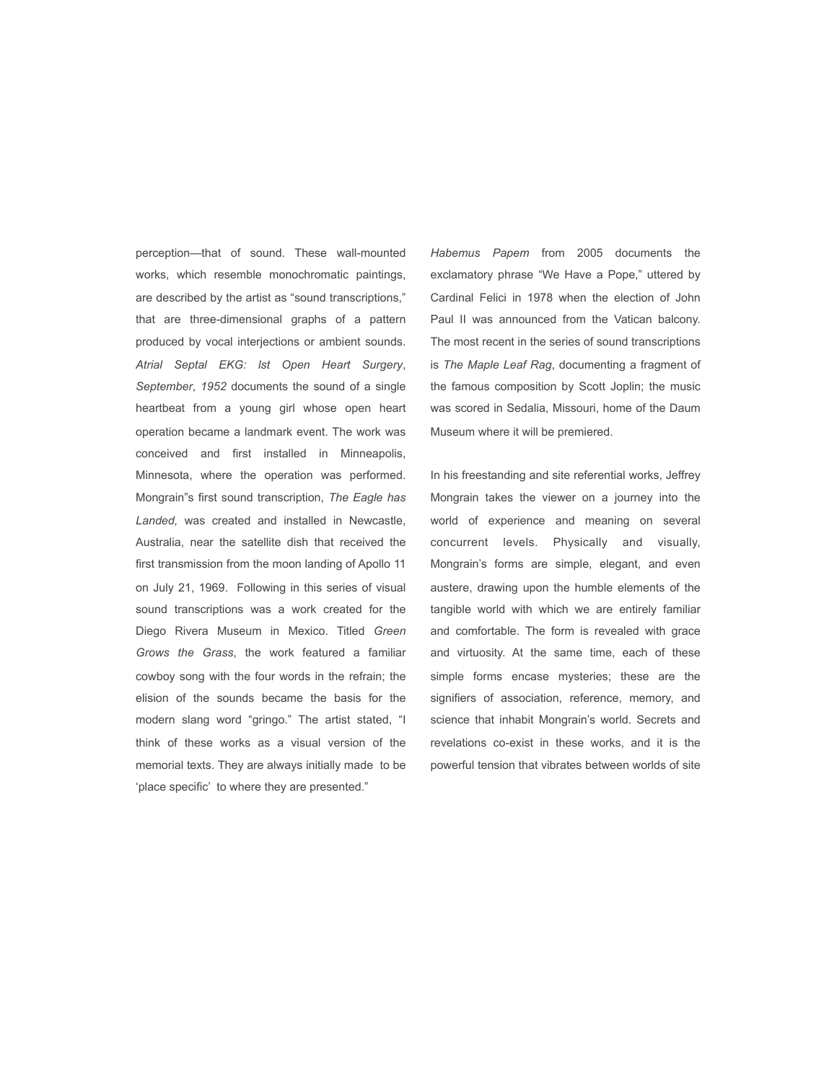perception—that of sound. These wall-mounted works, which resemble monochromatic paintings, are described by the artist as "sound transcriptions," that are three-dimensional graphs of a pattern produced by vocal interjections or ambient sounds. *Atrial Septal EKG: lst Open Heart Surgery*, *September*, *1952* documents the sound of a single heartbeat from a young girl whose open heart operation became a landmark event. The work was conceived and first installed in Minneapolis, Minnesota, where the operation was performed. Mongrain"s first sound transcription, *The Eagle has Landed,* was created and installed in Newcastle, Australia, near the satellite dish that received the first transmission from the moon landing of Apollo 11 on July 21, 1969. Following in this series of visual sound transcriptions was a work created for the Diego Rivera Museum in Mexico. Titled *Green Grows the Grass*, the work featured a familiar cowboy song with the four words in the refrain; the elision of the sounds became the basis for the modern slang word "gringo." The artist stated, "I think of these works as a visual version of the memorial texts. They are always initially made to be 'place specific' to where they are presented."

*Habemus Papem* from 2005 documents the exclamatory phrase "We Have a Pope," uttered by Cardinal Felici in 1978 when the election of John Paul II was announced from the Vatican balcony. The most recent in the series of sound transcriptions is *The Maple Leaf Rag*, documenting a fragment of the famous composition by Scott Joplin; the music was scored in Sedalia, Missouri, home of the Daum Museum where it will be premiered.

In his freestanding and site referential works, Jeffrey Mongrain takes the viewer on a journey into the world of experience and meaning on several concurrent levels. Physically and visually, Mongrain's forms are simple, elegant, and even austere, drawing upon the humble elements of the tangible world with which we are entirely familiar and comfortable. The form is revealed with grace and virtuosity. At the same time, each of these simple forms encase mysteries; these are the signifiers of association, reference, memory, and science that inhabit Mongrain's world. Secrets and revelations co-exist in these works, and it is the powerful tension that vibrates between worlds of site